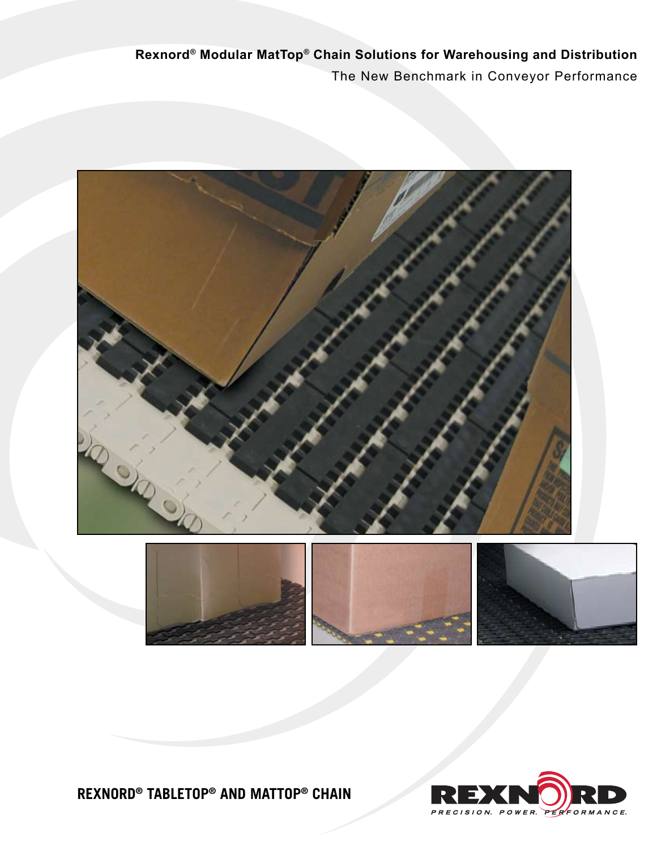### **Rexnord® TableTop® and MatTop® Chain**





**Rexnord® Modular MatTop® Chain Solutions for Warehousing and Distribution** The New Benchmark in Conveyor Performance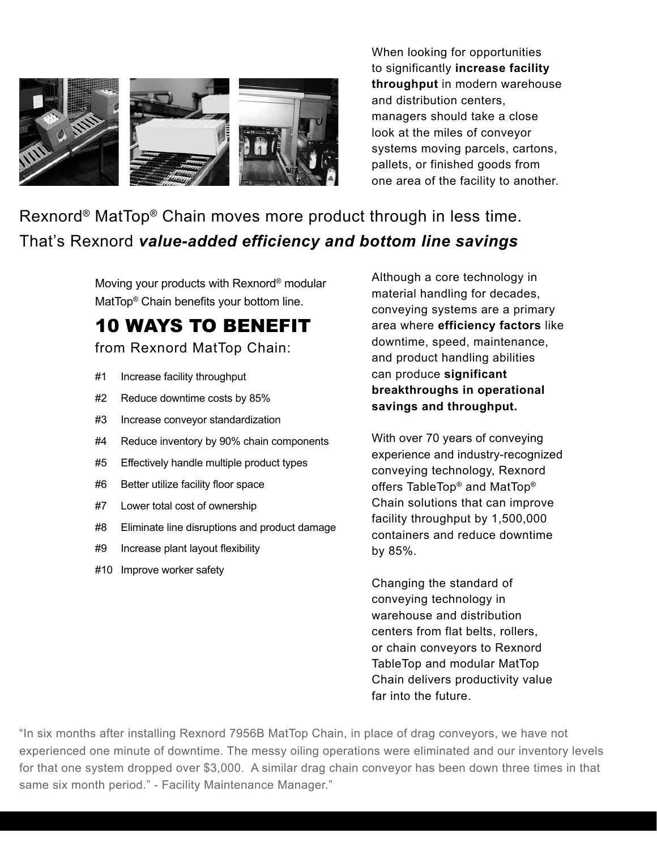

When looking for opportunities to significantly **increase facility throughput** in modern warehouse and distribution centers, managers should take a close look at the miles of conveyor systems moving parcels, cartons, pallets, or finished goods from one area of the facility to another.

### Rexnord® MatTop® Chain moves more product through in less time. That's Rexnord *value-added efficiency and bottom line savings*

Moving your products with Rexnord® modular MatTop® Chain benefits your bottom line.

## 10 Ways to Benefit

from Rexnord MatTop Chain:

- #1 Increase facility throughput
- #2 Reduce downtime costs by 85%
- #3 Increase conveyor standardization
- #4 Reduce inventory by 90% chain components
- #5 Effectively handle multiple product types
- #6 Better utilize facility floor space
- #7 Lower total cost of ownership
- #8 Eliminate line disruptions and product damage
- #9 Increase plant layout flexibility
- #10 Improve worker safety

Although a core technology in material handling for decades, conveying systems are a primary area where **efficiency factors** like downtime, speed, maintenance, and product handling abilities can produce **significant breakthroughs in operational savings and throughput.** 

With over 70 years of conveying experience and industry-recognized conveying technology, Rexnord offers TableTop® and MatTop® Chain solutions that can improve facility throughput by 1,500,000 containers and reduce downtime by 85%.

Changing the standard of conveying technology in warehouse and distribution centers from flat belts, rollers, or chain conveyors to Rexnord TableTop and modular MatTop Chain delivers productivity value far into the future.

"In six months after installing Rexnord 7956B MatTop Chain, in place of drag conveyors, we have not experienced one minute of downtime. The messy oiling operations were eliminated and our inventory levels for that one system dropped over \$3,000. A similar drag chain conveyor has been down three times in that same six month period." - Facility Maintenance Manager."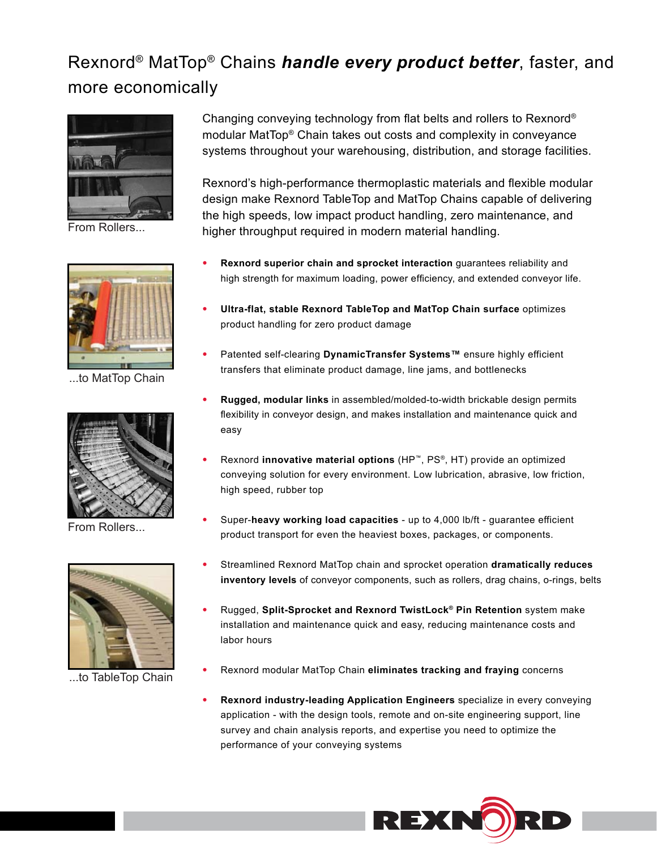### Rexnord® MatTop® Chains *handle every product better*, faster, and more economically



From Rollers...



...to MatTop Chain



From Rollers...



...to TableTop Chain

Changing conveying technology from flat belts and rollers to Rexnord® modular MatTop® Chain takes out costs and complexity in conveyance systems throughout your warehousing, distribution, and storage facilities.

Rexnord's high-performance thermoplastic materials and flexible modular design make Rexnord TableTop and MatTop Chains capable of delivering the high speeds, low impact product handling, zero maintenance, and higher throughput required in modern material handling.

- **Rexnord superior chain and sprocket interaction** guarantees reliability and high strength for maximum loading, power efficiency, and extended conveyor life. •
- **Ultra-flat, stable Rexnord TableTop and MatTop Chain surface** optimizes product handling for zero product damage •
- Patented self-clearing **DynamicTransfer Systems™** ensure highly efficient transfers that eliminate product damage, line jams, and bottlenecks •
- **Rugged, modular links** in assembled/molded-to-width brickable design permits flexibility in conveyor design, and makes installation and maintenance quick and easy •
- Rexnord **innovative material options** (HP™, PS®, HT) provide an optimized conveying solution for every environment. Low lubrication, abrasive, low friction, high speed, rubber top •
- Super-**heavy working load capacities**  up to 4,000 lb/ft guarantee efficient product transport for even the heaviest boxes, packages, or components. •
- Streamlined Rexnord MatTop chain and sprocket operation **dramatically reduces inventory levels** of conveyor components, such as rollers, drag chains, o-rings, belts •
- Rugged, **Split-Sprocket and Rexnord TwistLock® Pin Retention** system make installation and maintenance quick and easy, reducing maintenance costs and labor hours •
- Rexnord modular MatTop Chain **eliminates tracking and fraying** concerns •
- **Rexnord industry-leading Application Engineers** specialize in every conveying application - with the design tools, remote and on-site engineering support, line survey and chain analysis reports, and expertise you need to optimize the performance of your conveying systems •

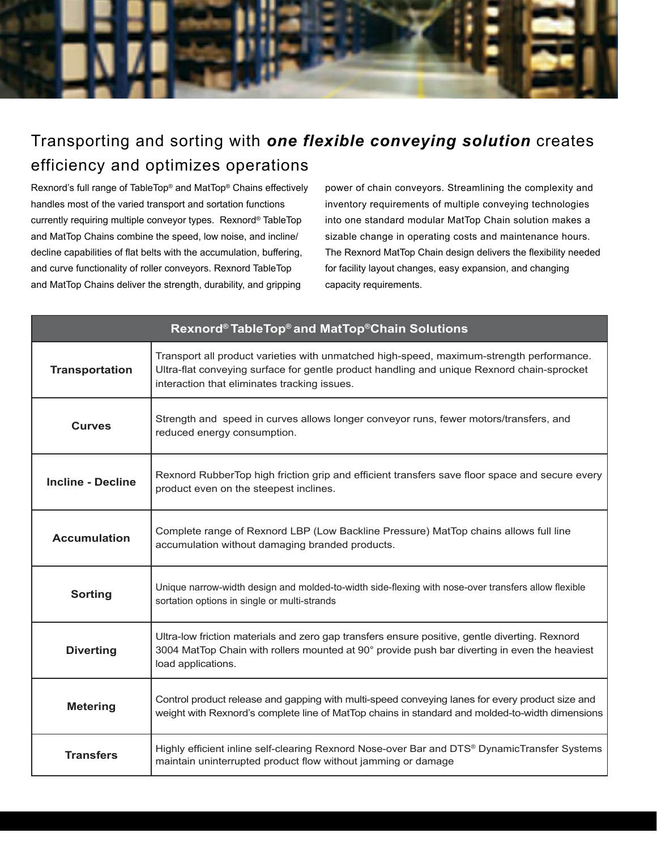

### Transporting and sorting with *one flexible conveying solution* creates efficiency and optimizes operations

Rexnord's full range of TableTop® and MatTop® Chains effectively handles most of the varied transport and sortation functions currently requiring multiple conveyor types. Rexnord® TableTop and MatTop Chains combine the speed, low noise, and incline/ decline capabilities of flat belts with the accumulation, buffering, and curve functionality of roller conveyors. Rexnord TableTop and MatTop Chains deliver the strength, durability, and gripping

power of chain conveyors. Streamlining the complexity and inventory requirements of multiple conveying technologies into one standard modular MatTop Chain solution makes a sizable change in operating costs and maintenance hours. The Rexnord MatTop Chain design delivers the flexibility needed for facility layout changes, easy expansion, and changing capacity requirements.

| Rexnord® TableTop® and MatTop®Chain Solutions |                                                                                                                                                                                                                                        |
|-----------------------------------------------|----------------------------------------------------------------------------------------------------------------------------------------------------------------------------------------------------------------------------------------|
| <b>Transportation</b>                         | Transport all product varieties with unmatched high-speed, maximum-strength performance.<br>Ultra-flat conveying surface for gentle product handling and unique Rexnord chain-sprocket<br>interaction that eliminates tracking issues. |
| <b>Curves</b>                                 | Strength and speed in curves allows longer conveyor runs, fewer motors/transfers, and<br>reduced energy consumption.                                                                                                                   |
| <b>Incline - Decline</b>                      | Rexnord RubberTop high friction grip and efficient transfers save floor space and secure every<br>product even on the steepest inclines.                                                                                               |
| <b>Accumulation</b>                           | Complete range of Rexnord LBP (Low Backline Pressure) MatTop chains allows full line<br>accumulation without damaging branded products.                                                                                                |
| <b>Sorting</b>                                | Unique narrow-width design and molded-to-width side-flexing with nose-over transfers allow flexible<br>sortation options in single or multi-strands                                                                                    |
| <b>Diverting</b>                              | Ultra-low friction materials and zero gap transfers ensure positive, gentle diverting. Rexnord<br>3004 MatTop Chain with rollers mounted at 90° provide push bar diverting in even the heaviest<br>load applications.                  |
| <b>Metering</b>                               | Control product release and gapping with multi-speed conveying lanes for every product size and<br>weight with Rexnord's complete line of MatTop chains in standard and molded-to-width dimensions                                     |
| <b>Transfers</b>                              | Highly efficient inline self-clearing Rexnord Nose-over Bar and DTS® DynamicTransfer Systems<br>maintain uninterrupted product flow without jamming or damage                                                                          |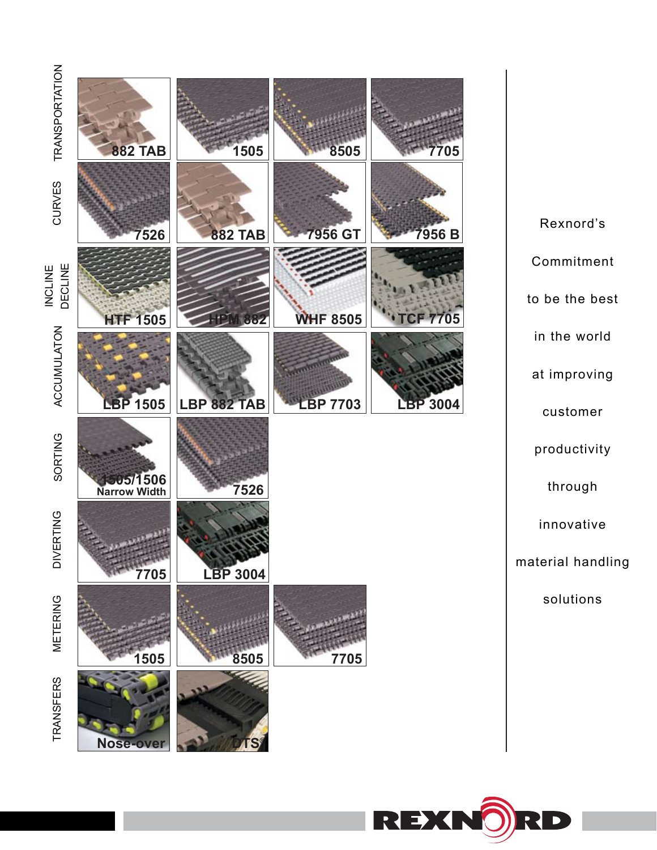

Rexnord's Commitment to be the best in the world at improving customer productivity through innovative material handling solutions

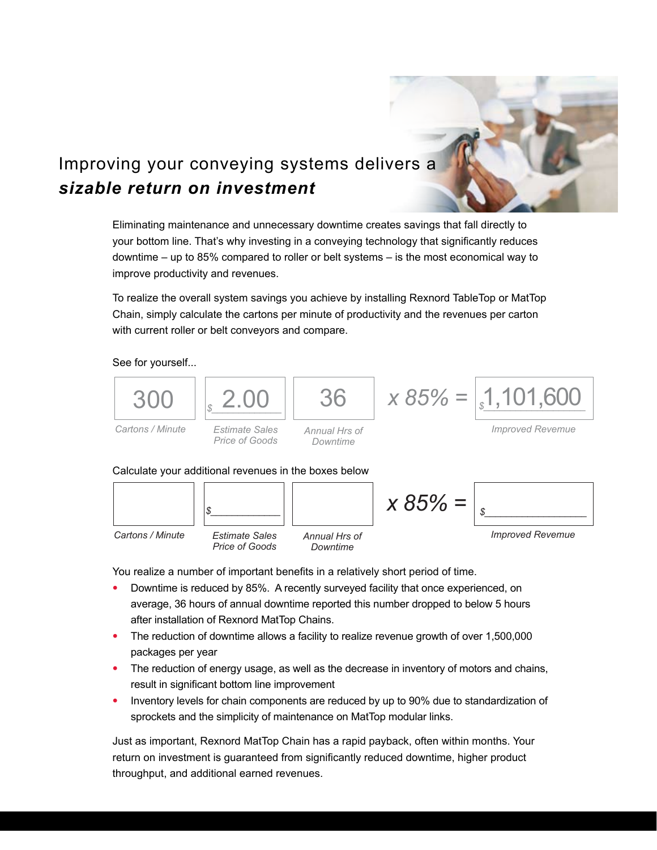

### Improving your conveying systems delivers a *sizable return on investment*

Eliminating maintenance and unnecessary downtime creates savings that fall directly to your bottom line. That's why investing in a conveying technology that significantly reduces downtime – up to 85% compared to roller or belt systems – is the most economical way to improve productivity and revenues.

To realize the overall system savings you achieve by installing Rexnord TableTop or MatTop Chain, simply calculate the cartons per minute of productivity and the revenues per carton with current roller or belt conveyors and compare.

See for yourself...





You realize a number of important benefits in a relatively short period of time.

- Downtime is reduced by 85%. A recently surveyed facility that once experienced, on average, 36 hours of annual downtime reported this number dropped to below 5 hours after installation of Rexnord MatTop Chains. •
- The reduction of downtime allows a facility to realize revenue growth of over 1,500,000 packages per year
- The reduction of energy usage, as well as the decrease in inventory of motors and chains, result in significant bottom line improvement
- Inventory levels for chain components are reduced by up to 90% due to standardization of sprockets and the simplicity of maintenance on MatTop modular links. •

Just as important, Rexnord MatTop Chain has a rapid payback, often within months. Your return on investment is guaranteed from significantly reduced downtime, higher product throughput, and additional earned revenues.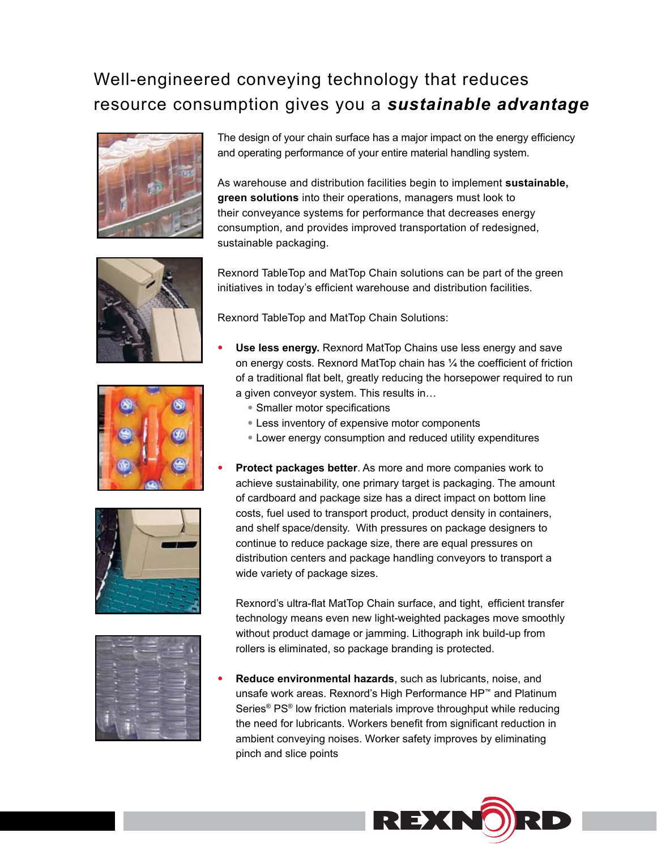### Well-engineered conveying technology that reduces resource consumption gives you a *sustainable advantage*







•





The design of your chain surface has a major impact on the energy efficiency and operating performance of your entire material handling system.

As warehouse and distribution facilities begin to implement **sustainable, green solutions** into their operations, managers must look to their conveyance systems for performance that decreases energy consumption, and provides improved transportation of redesigned, sustainable packaging.

Rexnord TableTop and MatTop Chain solutions can be part of the green initiatives in today's efficient warehouse and distribution facilities.

Rexnord TableTop and MatTop Chain Solutions:

- **Use less energy.** Rexnord MatTop Chains use less energy and save on energy costs. Rexnord MatTop chain has ¼ the coefficient of friction of a traditional flat belt, greatly reducing the horsepower required to run a given conveyor system. This results in… •
	- Smaller motor specifications
	- Less inventory of expensive motor components •
	- Lower energy consumption and reduced utility expenditures •
	- **Protect packages better**. As more and more companies work to achieve sustainability, one primary target is packaging. The amount of cardboard and package size has a direct impact on bottom line costs, fuel used to transport product, product density in containers, and shelf space/density. With pressures on package designers to continue to reduce package size, there are equal pressures on distribution centers and package handling conveyors to transport a wide variety of package sizes.

Rexnord's ultra-flat MatTop Chain surface, and tight, efficient transfer technology means even new light-weighted packages move smoothly without product damage or jamming. Lithograph ink build-up from rollers is eliminated, so package branding is protected.

**Reduce environmental hazards**, such as lubricants, noise, and unsafe work areas. Rexnord's High Performance HP™ and Platinum Series® PS® low friction materials improve throughput while reducing the need for lubricants. Workers benefit from significant reduction in ambient conveying noises. Worker safety improves by eliminating pinch and slice points •